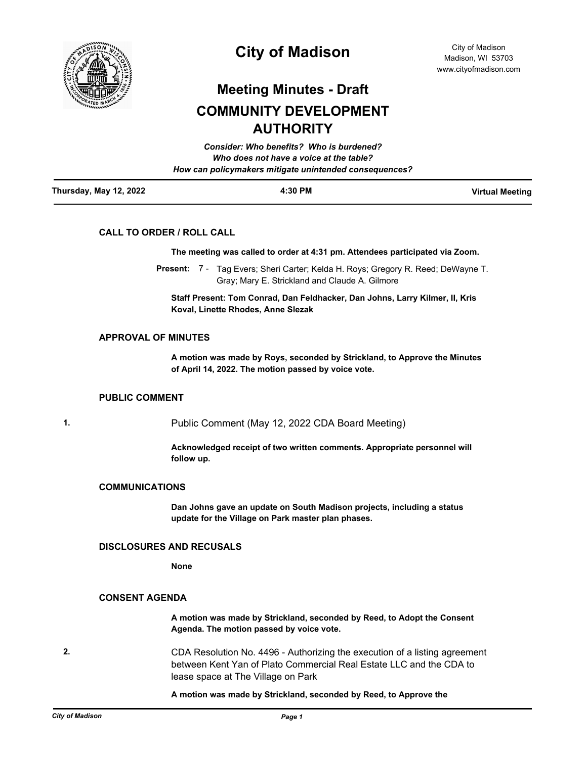

# **City of Madison**

# **Meeting Minutes - Draft COMMUNITY DEVELOPMENT AUTHORITY**

|                        | How can policymakers mitigate unintended consequences? |                        |
|------------------------|--------------------------------------------------------|------------------------|
| Thursday, May 12, 2022 | 4:30 PM                                                | <b>Virtual Meeting</b> |

## **CALL TO ORDER / ROLL CALL**

**The meeting was called to order at 4:31 pm. Attendees participated via Zoom.**

Present: 7 - Tag Evers; Sheri Carter; Kelda H. Roys; Gregory R. Reed; DeWayne T. Gray; Mary E. Strickland and Claude A. Gilmore

**Staff Present: Tom Conrad, Dan Feldhacker, Dan Johns, Larry Kilmer, II, Kris Koval, Linette Rhodes, Anne Slezak**

# **APPROVAL OF MINUTES**

**A motion was made by Roys, seconded by Strickland, to Approve the Minutes of April 14, 2022. The motion passed by voice vote.**

#### **PUBLIC COMMENT**

**1.** Public Comment (May 12, 2022 CDA Board Meeting)

**Acknowledged receipt of two written comments. Appropriate personnel will follow up.**

#### **COMMUNICATIONS**

**Dan Johns gave an update on South Madison projects, including a status update for the Village on Park master plan phases.**

## **DISCLOSURES AND RECUSALS**

**None**

## **CONSENT AGENDA**

**A motion was made by Strickland, seconded by Reed, to Adopt the Consent Agenda. The motion passed by voice vote.**

**2.** CDA Resolution No. 4496 - Authorizing the execution of a listing agreement between Kent Yan of Plato Commercial Real Estate LLC and the CDA to lease space at The Village on Park

**A motion was made by Strickland, seconded by Reed, to Approve the**